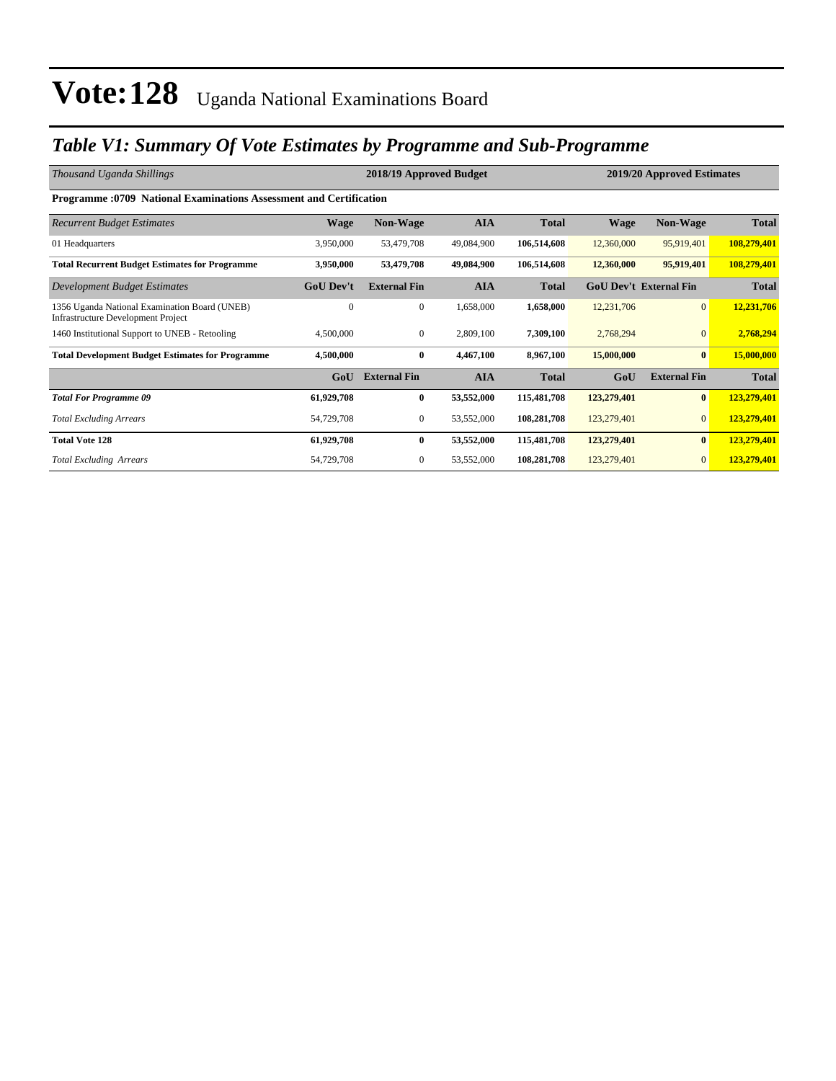### *Table V1: Summary Of Vote Estimates by Programme and Sub-Programme*

| Thousand Uganda Shillings                                                                  |                  | 2018/19 Approved Budget |            | 2019/20 Approved Estimates |             |                               |              |  |  |  |  |
|--------------------------------------------------------------------------------------------|------------------|-------------------------|------------|----------------------------|-------------|-------------------------------|--------------|--|--|--|--|
| <b>Programme: 0709 National Examinations Assessment and Certification</b>                  |                  |                         |            |                            |             |                               |              |  |  |  |  |
| <b>Recurrent Budget Estimates</b>                                                          | <b>Wage</b>      | <b>Non-Wage</b>         | <b>AIA</b> | <b>Total</b>               | <b>Wage</b> | <b>Non-Wage</b>               | <b>Total</b> |  |  |  |  |
| 01 Headquarters                                                                            | 3,950,000        | 53,479,708              | 49,084,900 | 106,514,608                | 12,360,000  | 95,919,401                    | 108,279,401  |  |  |  |  |
| <b>Total Recurrent Budget Estimates for Programme</b>                                      | 3,950,000        | 53,479,708              | 49,084,900 | 106,514,608                | 12,360,000  | 95,919,401                    | 108,279,401  |  |  |  |  |
| Development Budget Estimates                                                               | <b>GoU Dev't</b> | <b>External Fin</b>     | <b>AIA</b> | <b>Total</b>               |             | <b>GoU Dev't External Fin</b> | <b>Total</b> |  |  |  |  |
| 1356 Uganda National Examination Board (UNEB)<br><b>Infrastructure Development Project</b> | $\Omega$         | $\overline{0}$          | 1,658,000  | 1,658,000                  | 12,231,706  | $\overline{0}$                | 12,231,706   |  |  |  |  |
| 1460 Institutional Support to UNEB - Retooling                                             | 4,500,000        | $\overline{0}$          | 2,809,100  | 7,309,100                  | 2,768,294   | $\overline{0}$                | 2,768,294    |  |  |  |  |
| <b>Total Development Budget Estimates for Programme</b>                                    | 4,500,000        | $\bf{0}$                | 4,467,100  | 8,967,100                  | 15,000,000  | $\mathbf{0}$                  | 15,000,000   |  |  |  |  |
|                                                                                            | GoU              | <b>External Fin</b>     | <b>AIA</b> | <b>Total</b>               | GoU         | <b>External Fin</b>           | <b>Total</b> |  |  |  |  |
| <b>Total For Programme 09</b>                                                              | 61,929,708       | $\bf{0}$                | 53,552,000 | 115,481,708                | 123,279,401 | $\bf{0}$                      | 123,279,401  |  |  |  |  |
| <b>Total Excluding Arrears</b>                                                             | 54,729,708       | $\mathbf{0}$            | 53,552,000 | 108,281,708                | 123,279,401 | $\overline{0}$                | 123,279,401  |  |  |  |  |
| <b>Total Vote 128</b>                                                                      | 61,929,708       | $\bf{0}$                | 53,552,000 | 115,481,708                | 123,279,401 | $\bf{0}$                      | 123,279,401  |  |  |  |  |
| <b>Total Excluding Arrears</b>                                                             | 54,729,708       | $\overline{0}$          | 53,552,000 | 108,281,708                | 123,279,401 | $\overline{0}$                | 123,279,401  |  |  |  |  |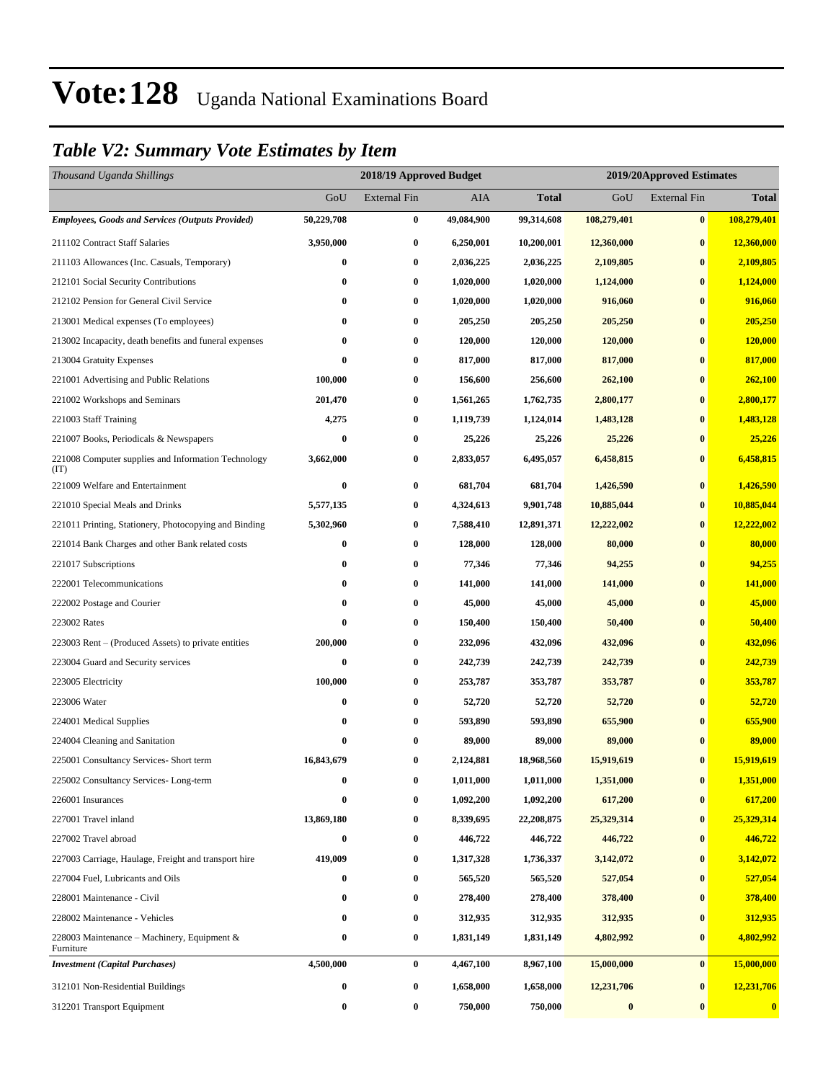#### *Table V2: Summary Vote Estimates by Item*

| Thousand Uganda Shillings                                   |            | 2018/19 Approved Budget |            | 2019/20Approved Estimates |                  |                     |                  |
|-------------------------------------------------------------|------------|-------------------------|------------|---------------------------|------------------|---------------------|------------------|
|                                                             | GoU        | <b>External Fin</b>     | AIA        | <b>Total</b>              | GoU              | <b>External Fin</b> | <b>Total</b>     |
| <b>Employees, Goods and Services (Outputs Provided)</b>     | 50,229,708 | $\bf{0}$                | 49,084,900 | 99,314,608                | 108,279,401      | $\bf{0}$            | 108,279,401      |
| 211102 Contract Staff Salaries                              | 3,950,000  | $\bf{0}$                | 6,250,001  | 10,200,001                | 12,360,000       | $\bf{0}$            | 12,360,000       |
| 211103 Allowances (Inc. Casuals, Temporary)                 | 0          | $\bf{0}$                | 2,036,225  | 2,036,225                 | 2,109,805        | $\bf{0}$            | 2,109,805        |
| 212101 Social Security Contributions                        | 0          | $\bf{0}$                | 1,020,000  | 1,020,000                 | 1,124,000        | $\bf{0}$            | 1,124,000        |
| 212102 Pension for General Civil Service                    | 0          | $\bf{0}$                | 1,020,000  | 1,020,000                 | 916,060          | $\bf{0}$            | 916,060          |
| 213001 Medical expenses (To employees)                      | 0          | $\bf{0}$                | 205,250    | 205,250                   | 205,250          | $\bf{0}$            | 205,250          |
| 213002 Incapacity, death benefits and funeral expenses      | $\bf{0}$   | $\bf{0}$                | 120,000    | 120,000                   | 120,000          | $\bf{0}$            | 120,000          |
| 213004 Gratuity Expenses                                    | 0          | $\bf{0}$                | 817,000    | 817,000                   | 817,000          | $\bf{0}$            | 817,000          |
| 221001 Advertising and Public Relations                     | 100,000    | $\bf{0}$                | 156,600    | 256,600                   | 262,100          | $\bf{0}$            | 262,100          |
| 221002 Workshops and Seminars                               | 201,470    | $\bf{0}$                | 1,561,265  | 1,762,735                 | 2,800,177        | $\bf{0}$            | 2,800,177        |
| 221003 Staff Training                                       | 4,275      | $\bf{0}$                | 1,119,739  | 1,124,014                 | 1,483,128        | $\bf{0}$            | 1,483,128        |
| 221007 Books, Periodicals & Newspapers                      | $\bf{0}$   | $\bf{0}$                | 25,226     | 25,226                    | 25,226           | $\bf{0}$            | 25,226           |
| 221008 Computer supplies and Information Technology<br>(TT) | 3,662,000  | $\bf{0}$                | 2,833,057  | 6,495,057                 | 6,458,815        | $\bf{0}$            | 6,458,815        |
| 221009 Welfare and Entertainment                            | $\bf{0}$   | $\bf{0}$                | 681,704    | 681,704                   | 1,426,590        | $\bf{0}$            | 1,426,590        |
| 221010 Special Meals and Drinks                             | 5,577,135  | $\bf{0}$                | 4,324,613  | 9,901,748                 | 10,885,044       | $\bf{0}$            | 10,885,044       |
| 221011 Printing, Stationery, Photocopying and Binding       | 5,302,960  | $\bf{0}$                | 7,588,410  | 12,891,371                | 12,222,002       | $\bf{0}$            | 12,222,002       |
| 221014 Bank Charges and other Bank related costs            | 0          | $\bf{0}$                | 128,000    | 128,000                   | 80,000           | $\bf{0}$            | 80,000           |
| 221017 Subscriptions                                        | 0          | $\bf{0}$                | 77,346     | 77,346                    | 94,255           | $\bf{0}$            | 94,255           |
| 222001 Telecommunications                                   | 0          | $\bf{0}$                | 141,000    | 141,000                   | 141,000          | $\bf{0}$            | 141,000          |
| 222002 Postage and Courier                                  | $\bf{0}$   | $\bf{0}$                | 45,000     | 45,000                    | 45,000           | $\bf{0}$            | 45,000           |
| 223002 Rates                                                | $\bf{0}$   | $\bf{0}$                | 150,400    | 150,400                   | 50,400           | $\bf{0}$            | 50,400           |
| 223003 Rent – (Produced Assets) to private entities         | 200,000    | $\bf{0}$                | 232,096    | 432,096                   | 432,096          | $\bf{0}$            | 432,096          |
| 223004 Guard and Security services                          | 0          | $\bf{0}$                | 242,739    | 242,739                   | 242,739          | $\bf{0}$            | 242,739          |
| 223005 Electricity                                          | 100,000    | $\bf{0}$                | 253,787    | 353,787                   | 353,787          | $\bf{0}$            | 353,787          |
| 223006 Water                                                | $\bf{0}$   | $\bf{0}$                | 52,720     | 52,720                    | 52,720           | $\bf{0}$            | 52,720           |
| 224001 Medical Supplies                                     | 0          | $\bf{0}$                | 593,890    | 593,890                   | 655,900          | $\bf{0}$            | 655,900          |
| 224004 Cleaning and Sanitation                              | 0          | $\bf{0}$                | 89,000     | 89,000                    | 89,000           | $\bf{0}$            | 89,000           |
| 225001 Consultancy Services- Short term                     | 16,843,679 | $\bf{0}$                | 2,124,881  | 18,968,560                | 15,919,619       | $\bf{0}$            | 15,919,619       |
| 225002 Consultancy Services-Long-term                       | 0          | $\bf{0}$                | 1,011,000  | 1,011,000                 | 1,351,000        | $\bf{0}$            | 1,351,000        |
| 226001 Insurances                                           | $\bf{0}$   | $\bf{0}$                | 1,092,200  | 1,092,200                 | 617,200          | $\bf{0}$            | 617,200          |
| 227001 Travel inland                                        | 13,869,180 | $\bf{0}$                | 8,339,695  | 22,208,875                | 25,329,314       | $\bf{0}$            | 25,329,314       |
| 227002 Travel abroad                                        | 0          | $\bf{0}$                | 446,722    | 446,722                   | 446,722          | $\bf{0}$            | 446,722          |
| 227003 Carriage, Haulage, Freight and transport hire        | 419,009    | $\bf{0}$                | 1,317,328  | 1,736,337                 | 3,142,072        | $\bf{0}$            | 3,142,072        |
| 227004 Fuel, Lubricants and Oils                            | 0          | $\bf{0}$                | 565,520    | 565,520                   | 527,054          | $\bf{0}$            | 527,054          |
| 228001 Maintenance - Civil                                  | 0          | $\bf{0}$                | 278,400    | 278,400                   | 378,400          | $\bf{0}$            | 378,400          |
| 228002 Maintenance - Vehicles                               | 0          | $\bf{0}$                | 312,935    | 312,935                   | 312,935          | $\bf{0}$            | 312,935          |
| 228003 Maintenance - Machinery, Equipment &<br>Furniture    | 0          | $\bf{0}$                | 1,831,149  | 1,831,149                 | 4,802,992        | $\bf{0}$            | 4,802,992        |
| <b>Investment</b> (Capital Purchases)                       | 4,500,000  | $\bf{0}$                | 4,467,100  | 8,967,100                 | 15,000,000       | $\bf{0}$            | 15,000,000       |
| 312101 Non-Residential Buildings                            | 0          | $\bf{0}$                | 1,658,000  | 1,658,000                 | 12,231,706       | $\bf{0}$            | 12,231,706       |
| 312201 Transport Equipment                                  | 0          | $\bf{0}$                | 750,000    | 750,000                   | $\boldsymbol{0}$ | $\bf{0}$            | $\boldsymbol{0}$ |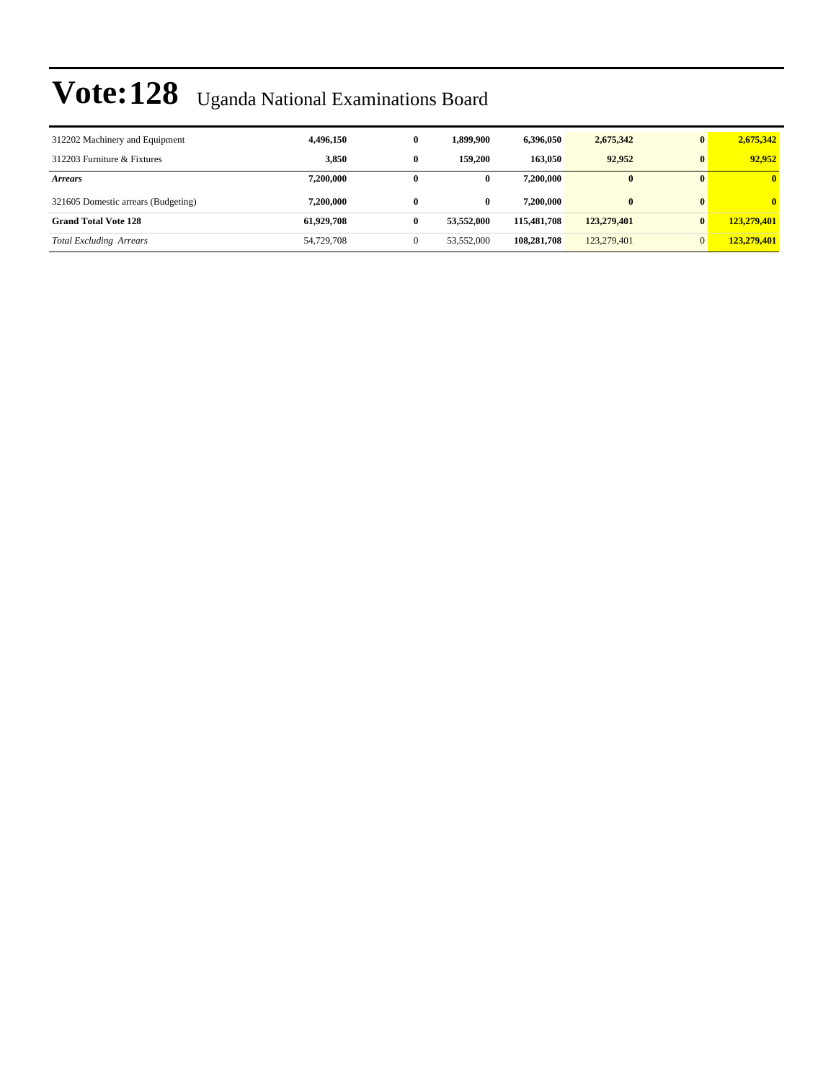| 312202 Machinery and Equipment      | 4,496,150  | $\bf{0}$     | 1,899,900    | 6.396.050   | 2,675,342   | $\mathbf{0}$ | 2,675,342    |
|-------------------------------------|------------|--------------|--------------|-------------|-------------|--------------|--------------|
| 312203 Furniture & Fixtures         | 3.850      | $\bf{0}$     | 159,200      | 163,050     | 92.952      | $\mathbf{0}$ | 92.952       |
| <b>Arrears</b>                      | 7,200,000  | 0            | $\mathbf{0}$ | 7,200,000   | $\bf{0}$    | $\mathbf{0}$ | $\mathbf{0}$ |
| 321605 Domestic arrears (Budgeting) | 7.200.000  | $\bf{0}$     | $\mathbf{0}$ | 7.200.000   | $\bf{0}$    | $\mathbf{0}$ | $\mathbf{0}$ |
| <b>Grand Total Vote 128</b>         | 61.929.708 | $\bf{0}$     | 53,552,000   | 115,481,708 | 123,279,401 | $\mathbf{0}$ | 123,279,401  |
| <b>Total Excluding Arrears</b>      | 54,729,708 | $\mathbf{0}$ | 53,552,000   | 108,281,708 | 123,279,401 | $\Omega$     | 123,279,401  |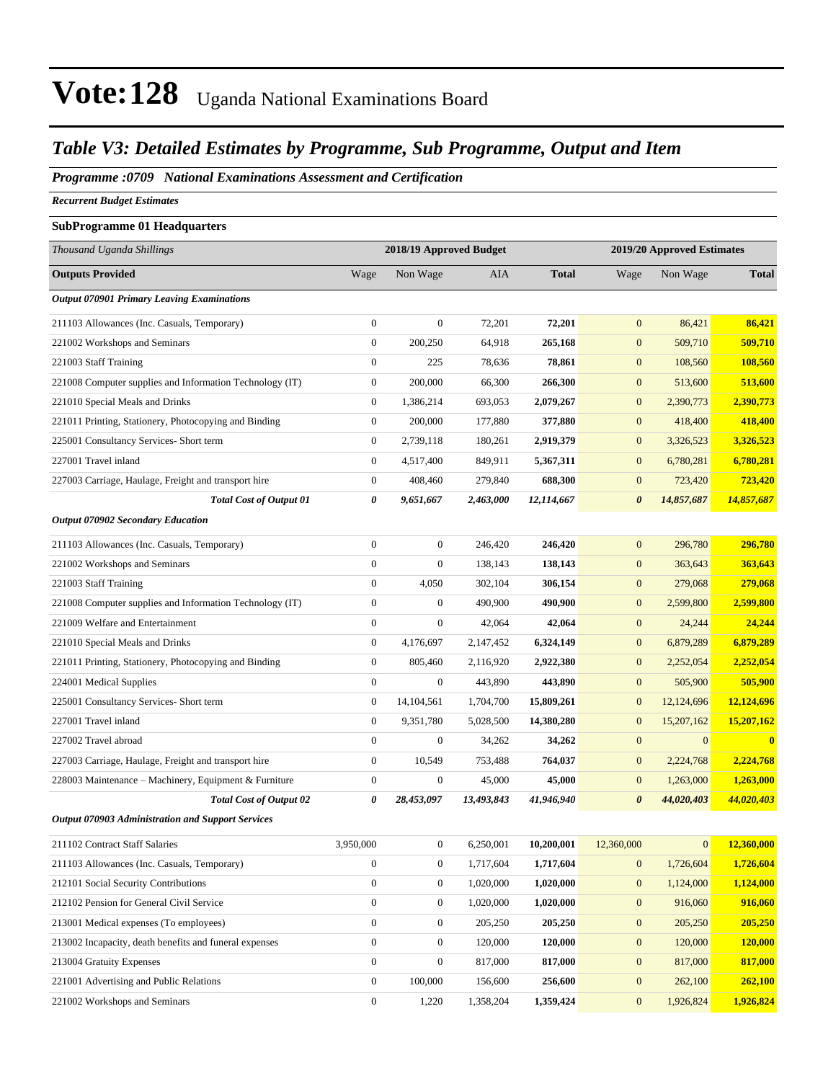### *Table V3: Detailed Estimates by Programme, Sub Programme, Output and Item*

*Programme :0709 National Examinations Assessment and Certification*

*Recurrent Budget Estimates*

| <b>SubProgramme 01 Headquarters</b>                      |                  |                         |            |                            |                       |                  |              |
|----------------------------------------------------------|------------------|-------------------------|------------|----------------------------|-----------------------|------------------|--------------|
| Thousand Uganda Shillings                                |                  | 2018/19 Approved Budget |            | 2019/20 Approved Estimates |                       |                  |              |
| <b>Outputs Provided</b>                                  | Wage             | Non Wage                | <b>AIA</b> | <b>Total</b>               | Wage                  | Non Wage         | <b>Total</b> |
| <b>Output 070901 Primary Leaving Examinations</b>        |                  |                         |            |                            |                       |                  |              |
| 211103 Allowances (Inc. Casuals, Temporary)              | $\boldsymbol{0}$ | $\boldsymbol{0}$        | 72,201     | 72,201                     | $\overline{0}$        | 86,421           | 86,421       |
| 221002 Workshops and Seminars                            | $\boldsymbol{0}$ | 200,250                 | 64,918     | 265,168                    | $\overline{0}$        | 509,710          | 509,710      |
| 221003 Staff Training                                    | $\mathbf{0}$     | 225                     | 78,636     | 78,861                     | $\overline{0}$        | 108,560          | 108,560      |
| 221008 Computer supplies and Information Technology (IT) | $\mathbf{0}$     | 200,000                 | 66,300     | 266,300                    | $\mathbf{0}$          | 513,600          | 513,600      |
| 221010 Special Meals and Drinks                          | $\mathbf{0}$     | 1,386,214               | 693,053    | 2,079,267                  | $\overline{0}$        | 2,390,773        | 2,390,773    |
| 221011 Printing, Stationery, Photocopying and Binding    | $\boldsymbol{0}$ | 200,000                 | 177,880    | 377,880                    | $\mathbf{0}$          | 418,400          | 418,400      |
| 225001 Consultancy Services- Short term                  | $\boldsymbol{0}$ | 2,739,118               | 180,261    | 2,919,379                  | $\mathbf{0}$          | 3,326,523        | 3,326,523    |
| 227001 Travel inland                                     | $\boldsymbol{0}$ | 4,517,400               | 849,911    | 5,367,311                  | $\overline{0}$        | 6,780,281        | 6,780,281    |
| 227003 Carriage, Haulage, Freight and transport hire     | $\boldsymbol{0}$ | 408,460                 | 279,840    | 688,300                    | $\overline{0}$        | 723,420          | 723,420      |
| <b>Total Cost of Output 01</b>                           | 0                | 9,651,667               | 2,463,000  | 12,114,667                 | 0                     | 14,857,687       | 14,857,687   |
| <b>Output 070902 Secondary Education</b>                 |                  |                         |            |                            |                       |                  |              |
| 211103 Allowances (Inc. Casuals, Temporary)              | $\mathbf{0}$     | $\boldsymbol{0}$        | 246,420    | 246,420                    | $\overline{0}$        | 296,780          | 296,780      |
| 221002 Workshops and Seminars                            | $\boldsymbol{0}$ | $\boldsymbol{0}$        | 138,143    | 138,143                    | $\mathbf{0}$          | 363,643          | 363,643      |
| 221003 Staff Training                                    | $\boldsymbol{0}$ | 4,050                   | 302,104    | 306,154                    | $\overline{0}$        | 279,068          | 279,068      |
| 221008 Computer supplies and Information Technology (IT) | $\mathbf{0}$     | $\boldsymbol{0}$        | 490,900    | 490.900                    | $\mathbf{0}$          | 2,599,800        | 2,599,800    |
| 221009 Welfare and Entertainment                         | $\boldsymbol{0}$ | $\boldsymbol{0}$        | 42,064     | 42,064                     | $\overline{0}$        | 24,244           | 24,244       |
| 221010 Special Meals and Drinks                          | $\boldsymbol{0}$ | 4,176,697               | 2,147,452  | 6,324,149                  | $\mathbf{0}$          | 6,879,289        | 6,879,289    |
| 221011 Printing, Stationery, Photocopying and Binding    | $\boldsymbol{0}$ | 805,460                 | 2,116,920  | 2,922,380                  | $\mathbf{0}$          | 2,252,054        | 2,252,054    |
| 224001 Medical Supplies                                  | $\mathbf{0}$     | $\boldsymbol{0}$        | 443,890    | 443,890                    | $\mathbf{0}$          | 505,900          | 505,900      |
| 225001 Consultancy Services- Short term                  | $\mathbf{0}$     | 14, 104, 561            | 1,704,700  | 15,809,261                 | $\mathbf{0}$          | 12,124,696       | 12,124,696   |
| 227001 Travel inland                                     | $\boldsymbol{0}$ | 9,351,780               | 5,028,500  | 14,380,280                 | $\overline{0}$        | 15,207,162       | 15,207,162   |
| 227002 Travel abroad                                     | $\boldsymbol{0}$ | $\boldsymbol{0}$        | 34,262     | 34,262                     | $\mathbf{0}$          | $\mathbf{0}$     | $\bf{0}$     |
| 227003 Carriage, Haulage, Freight and transport hire     | $\boldsymbol{0}$ | 10,549                  | 753,488    | 764,037                    | $\mathbf{0}$          | 2,224,768        | 2,224,768    |
| 228003 Maintenance - Machinery, Equipment & Furniture    | $\mathbf{0}$     | $\boldsymbol{0}$        | 45,000     | 45,000                     | $\mathbf{0}$          | 1,263,000        | 1,263,000    |
| <b>Total Cost of Output 02</b>                           | 0                | 28,453,097              | 13,493,843 | 41,946,940                 | $\boldsymbol{\theta}$ | 44,020,403       | 44,020,403   |
| <b>Output 070903 Administration and Support Services</b> |                  |                         |            |                            |                       |                  |              |
| 211102 Contract Staff Salaries                           | 3,950,000        | $\boldsymbol{0}$        | 6,250,001  | 10,200,001                 | 12,360,000            | $\boldsymbol{0}$ | 12,360,000   |
| 211103 Allowances (Inc. Casuals, Temporary)              | $\boldsymbol{0}$ | $\boldsymbol{0}$        | 1,717,604  | 1,717,604                  | $\boldsymbol{0}$      | 1,726,604        | 1,726,604    |
| 212101 Social Security Contributions                     | $\boldsymbol{0}$ | $\boldsymbol{0}$        | 1,020,000  | 1,020,000                  | $\mathbf{0}$          | 1,124,000        | 1,124,000    |
| 212102 Pension for General Civil Service                 | $\boldsymbol{0}$ | $\boldsymbol{0}$        | 1,020,000  | 1,020,000                  | $\mathbf{0}$          | 916,060          | 916,060      |
| 213001 Medical expenses (To employees)                   | $\mathbf{0}$     | $\boldsymbol{0}$        | 205,250    | 205,250                    | $\mathbf{0}$          | 205,250          | 205,250      |
| 213002 Incapacity, death benefits and funeral expenses   | $\boldsymbol{0}$ | $\boldsymbol{0}$        | 120,000    | 120,000                    | $\mathbf{0}$          | 120,000          | 120,000      |
| 213004 Gratuity Expenses                                 | $\boldsymbol{0}$ | $\boldsymbol{0}$        | 817,000    | 817,000                    | $\mathbf{0}$          | 817,000          | 817,000      |
| 221001 Advertising and Public Relations                  | $\boldsymbol{0}$ | 100,000                 | 156,600    | 256,600                    | $\mathbf{0}$          | 262,100          | 262,100      |

221002 Workshops and Seminars 0 1,220 1,358,204 **1,359,424** 0 1,926,824 **1,926,824**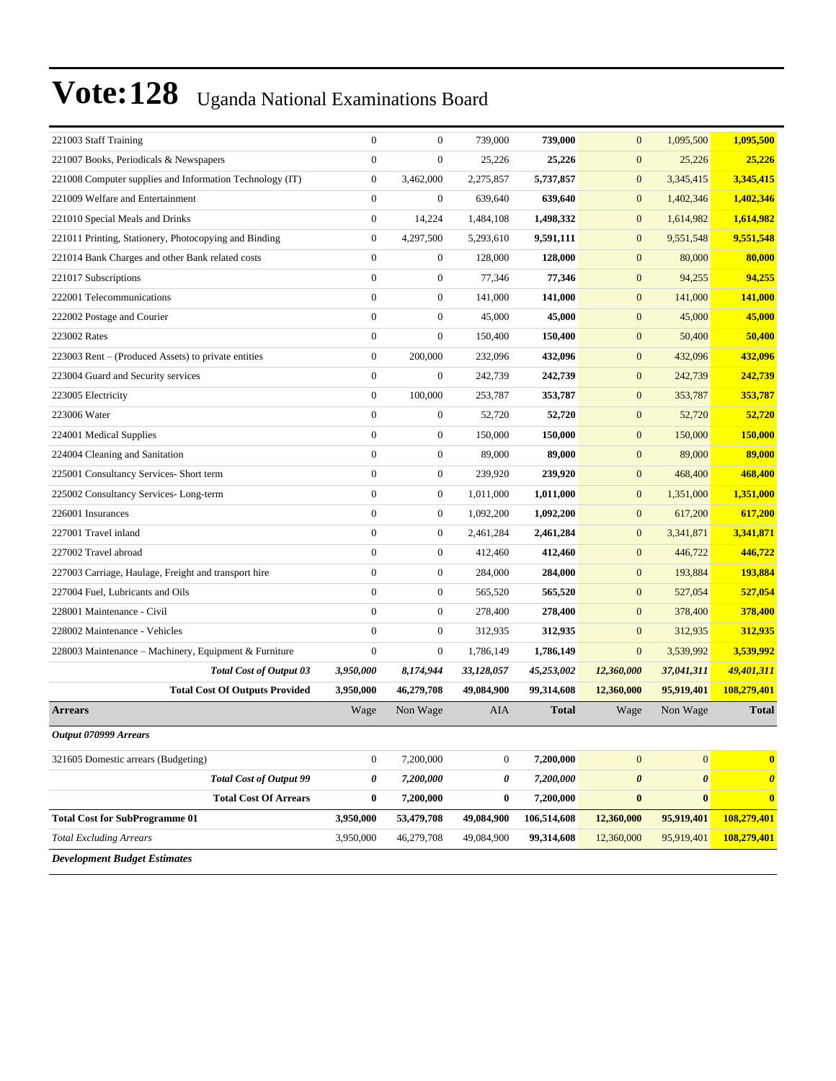| 221003 Staff Training                                    |           | $\overline{0}$   | $\boldsymbol{0}$ | 739,000          | 739,000      | $\mathbf{0}$     | 1,095,500             | 1,095,500             |
|----------------------------------------------------------|-----------|------------------|------------------|------------------|--------------|------------------|-----------------------|-----------------------|
| 221007 Books, Periodicals & Newspapers                   |           | $\mathbf{0}$     | $\boldsymbol{0}$ | 25,226           | 25,226       | $\boldsymbol{0}$ | 25,226                | 25,226                |
| 221008 Computer supplies and Information Technology (IT) |           | $\boldsymbol{0}$ | 3,462,000        | 2,275,857        | 5,737,857    | $\mathbf{0}$     | 3,345,415             | 3,345,415             |
| 221009 Welfare and Entertainment                         |           | $\boldsymbol{0}$ | $\boldsymbol{0}$ | 639,640          | 639,640      | $\mathbf{0}$     | 1,402,346             | 1,402,346             |
| 221010 Special Meals and Drinks                          |           | $\boldsymbol{0}$ | 14,224           | 1,484,108        | 1,498,332    | $\mathbf{0}$     | 1,614,982             | 1,614,982             |
| 221011 Printing, Stationery, Photocopying and Binding    |           | $\boldsymbol{0}$ | 4,297,500        | 5,293,610        | 9,591,111    | $\mathbf{0}$     | 9,551,548             | 9,551,548             |
| 221014 Bank Charges and other Bank related costs         |           | $\mathbf{0}$     | $\boldsymbol{0}$ | 128,000          | 128,000      | $\mathbf{0}$     | 80,000                | 80,000                |
| 221017 Subscriptions                                     |           | $\mathbf{0}$     | $\boldsymbol{0}$ | 77,346           | 77,346       | $\mathbf{0}$     | 94,255                | 94,255                |
| 222001 Telecommunications                                |           | $\overline{0}$   | $\boldsymbol{0}$ | 141,000          | 141,000      | $\mathbf{0}$     | 141,000               | 141,000               |
| 222002 Postage and Courier                               |           | $\mathbf{0}$     | $\boldsymbol{0}$ | 45,000           | 45,000       | $\mathbf{0}$     | 45,000                | 45,000                |
| 223002 Rates                                             |           | $\boldsymbol{0}$ | $\boldsymbol{0}$ | 150,400          | 150,400      | $\mathbf{0}$     | 50,400                | 50,400                |
| 223003 Rent – (Produced Assets) to private entities      |           | $\boldsymbol{0}$ | 200,000          | 232,096          | 432,096      | $\boldsymbol{0}$ | 432,096               | 432,096               |
| 223004 Guard and Security services                       |           | $\boldsymbol{0}$ | $\boldsymbol{0}$ | 242,739          | 242,739      | $\mathbf{0}$     | 242,739               | 242,739               |
| 223005 Electricity                                       |           | $\boldsymbol{0}$ | 100,000          | 253,787          | 353,787      | $\mathbf{0}$     | 353,787               | 353,787               |
| 223006 Water                                             |           | $\mathbf{0}$     | $\boldsymbol{0}$ | 52,720           | 52,720       | $\mathbf{0}$     | 52,720                | 52,720                |
| 224001 Medical Supplies                                  |           | $\mathbf{0}$     | $\boldsymbol{0}$ | 150,000          | 150,000      | $\mathbf{0}$     | 150,000               | 150,000               |
| 224004 Cleaning and Sanitation                           |           | $\mathbf{0}$     | $\boldsymbol{0}$ | 89,000           | 89,000       | $\boldsymbol{0}$ | 89,000                | 89,000                |
| 225001 Consultancy Services- Short term                  |           | $\boldsymbol{0}$ | $\boldsymbol{0}$ | 239,920          | 239,920      | $\mathbf{0}$     | 468,400               | 468,400               |
| 225002 Consultancy Services- Long-term                   |           | $\boldsymbol{0}$ | $\boldsymbol{0}$ | 1,011,000        | 1,011,000    | $\mathbf{0}$     | 1,351,000             | 1,351,000             |
| 226001 Insurances                                        |           | $\mathbf{0}$     | $\boldsymbol{0}$ | 1,092,200        | 1,092,200    | $\mathbf{0}$     | 617,200               | 617,200               |
| 227001 Travel inland                                     |           | $\boldsymbol{0}$ | $\boldsymbol{0}$ | 2,461,284        | 2,461,284    | $\mathbf{0}$     | 3,341,871             | 3,341,871             |
| 227002 Travel abroad                                     |           | $\mathbf{0}$     | $\boldsymbol{0}$ | 412,460          | 412,460      | $\boldsymbol{0}$ | 446,722               | 446,722               |
| 227003 Carriage, Haulage, Freight and transport hire     |           | $\boldsymbol{0}$ | $\boldsymbol{0}$ | 284,000          | 284,000      | $\mathbf{0}$     | 193,884               | 193,884               |
| 227004 Fuel, Lubricants and Oils                         |           | $\overline{0}$   | $\boldsymbol{0}$ | 565,520          | 565,520      | $\mathbf{0}$     | 527,054               | 527,054               |
| 228001 Maintenance - Civil                               |           | $\mathbf{0}$     | $\boldsymbol{0}$ | 278,400          | 278,400      | $\mathbf{0}$     | 378,400               | 378,400               |
| 228002 Maintenance - Vehicles                            |           | $\mathbf{0}$     | $\boldsymbol{0}$ | 312,935          | 312,935      | $\mathbf{0}$     | 312,935               | 312,935               |
| 228003 Maintenance - Machinery, Equipment & Furniture    |           | $\mathbf{0}$     | $\boldsymbol{0}$ | 1,786,149        | 1,786,149    | $\mathbf{0}$     | 3,539,992             | 3,539,992             |
| <b>Total Cost of Output 03</b>                           | 3,950,000 |                  | 8,174,944        | 33,128,057       | 45,253,002   | 12,360,000       | 37,041,311            | 49,401,311            |
| <b>Total Cost Of Outputs Provided</b>                    | 3,950,000 |                  | 46,279,708       | 49,084,900       | 99,314,608   | 12,360,000       | 95,919,401            | 108,279,401           |
| <b>Arrears</b>                                           | Wage      |                  | Non Wage         | AIA              | <b>Total</b> | Wage             | Non Wage              | <b>Total</b>          |
| Output 070999 Arrears                                    |           |                  |                  |                  |              |                  |                       |                       |
| 321605 Domestic arrears (Budgeting)                      |           | $\boldsymbol{0}$ | 7,200,000        | $\boldsymbol{0}$ | 7,200,000    | $\mathbf{0}$     | $\overline{0}$        | $\bf{0}$              |
| <b>Total Cost of Output 99</b>                           |           | 0                | 7,200,000        | 0                | 7,200,000    | $\pmb{\theta}$   | $\boldsymbol{\theta}$ | $\boldsymbol{\theta}$ |
| <b>Total Cost Of Arrears</b>                             |           | $\bf{0}$         | 7,200,000        | 0                | 7,200,000    | $\pmb{0}$        | $\bf{0}$              | $\bf{0}$              |
| <b>Total Cost for SubProgramme 01</b>                    | 3,950,000 |                  | 53,479,708       | 49,084,900       | 106,514,608  | 12,360,000       | 95,919,401            | 108,279,401           |
| <b>Total Excluding Arrears</b>                           | 3,950,000 |                  | 46,279,708       | 49,084,900       | 99,314,608   | 12,360,000       | 95,919,401            | 108,279,401           |
| <b>Development Budget Estimates</b>                      |           |                  |                  |                  |              |                  |                       |                       |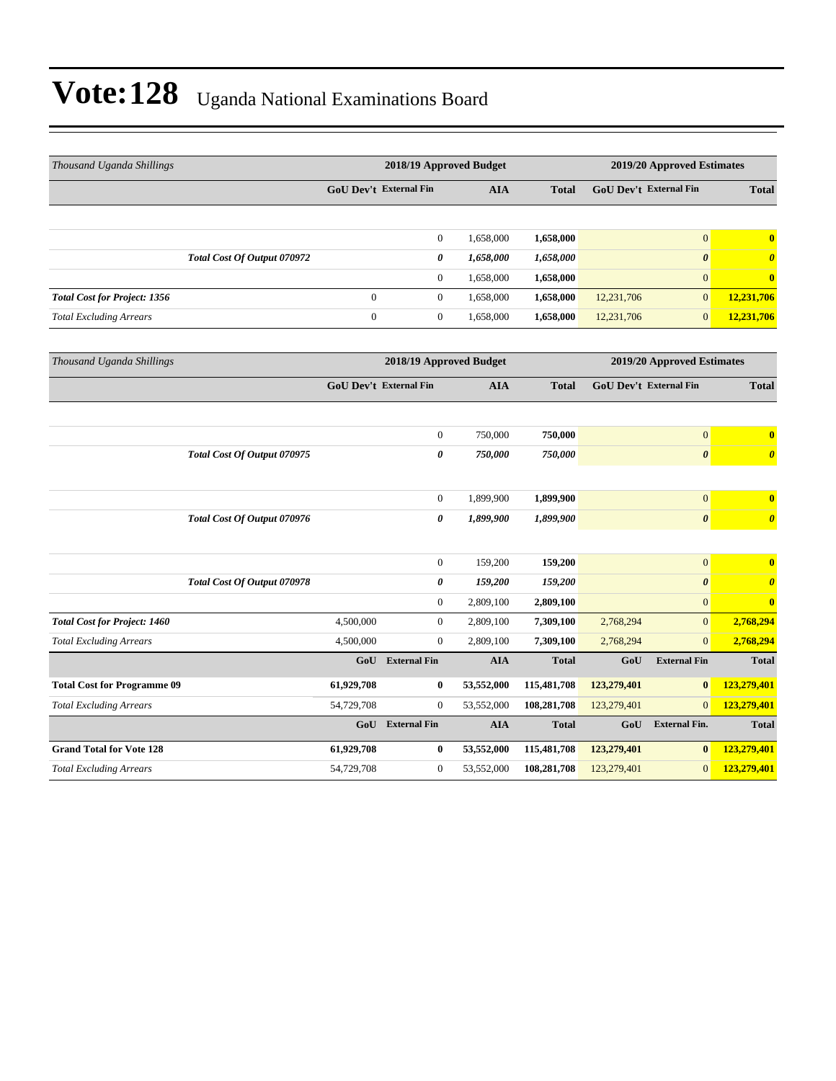| Thousand Uganda Shillings           |                             |                  | 2018/19 Approved Budget       |            | 2019/20 Approved Estimates |                               |                            |                       |  |
|-------------------------------------|-----------------------------|------------------|-------------------------------|------------|----------------------------|-------------------------------|----------------------------|-----------------------|--|
|                                     |                             |                  | GoU Dev't External Fin        |            | <b>Total</b>               | GoU Dev't External Fin        |                            | <b>Total</b>          |  |
|                                     |                             |                  |                               |            |                            |                               |                            |                       |  |
|                                     |                             |                  | $\boldsymbol{0}$              | 1,658,000  | 1,658,000                  |                               | $\boldsymbol{0}$           | $\bf{0}$              |  |
|                                     | Total Cost Of Output 070972 |                  | 0                             | 1,658,000  | 1,658,000                  |                               | $\boldsymbol{\theta}$      | $\boldsymbol{\theta}$ |  |
|                                     |                             |                  | $\boldsymbol{0}$              | 1,658,000  | 1,658,000                  |                               | $\mathbf{0}$               | $\bf{0}$              |  |
| <b>Total Cost for Project: 1356</b> |                             | $\mathbf{0}$     | $\boldsymbol{0}$              | 1,658,000  | 1,658,000                  | 12,231,706                    | $\boldsymbol{0}$           | 12,231,706            |  |
| <b>Total Excluding Arrears</b>      |                             | $\boldsymbol{0}$ | $\boldsymbol{0}$              | 1,658,000  | 1,658,000                  | 12,231,706                    | $\boldsymbol{0}$           | 12,231,706            |  |
| Thousand Uganda Shillings           |                             |                  | 2018/19 Approved Budget       |            |                            |                               | 2019/20 Approved Estimates |                       |  |
|                                     |                             |                  | <b>GoU Dev't External Fin</b> | <b>AIA</b> | <b>Total</b>               | <b>GoU Dev't External Fin</b> |                            | <b>Total</b>          |  |
|                                     |                             |                  |                               |            |                            |                               |                            |                       |  |
|                                     |                             |                  | $\boldsymbol{0}$              | 750,000    | 750,000                    |                               | $\overline{0}$             | $\mathbf{0}$          |  |
|                                     | Total Cost Of Output 070975 |                  | 0                             | 750,000    | 750,000                    |                               | $\boldsymbol{\theta}$      | $\boldsymbol{\theta}$ |  |
|                                     |                             |                  |                               |            |                            |                               |                            |                       |  |
|                                     |                             |                  | $\mathbf{0}$                  | 1,899,900  | 1,899,900                  |                               | $\boldsymbol{0}$           | $\mathbf{0}$          |  |
|                                     | Total Cost Of Output 070976 |                  | 0                             | 1,899,900  | 1,899,900                  |                               | $\boldsymbol{\theta}$      | $\boldsymbol{\theta}$ |  |
|                                     |                             |                  |                               |            |                            |                               |                            |                       |  |
|                                     |                             |                  | $\boldsymbol{0}$              | 159,200    | 159,200                    |                               | $\boldsymbol{0}$           | $\bf{0}$              |  |
|                                     | Total Cost Of Output 070978 |                  | 0                             | 159,200    | 159,200                    |                               | $\boldsymbol{\theta}$      | $\boldsymbol{\theta}$ |  |
|                                     |                             |                  | $\boldsymbol{0}$              | 2,809,100  | 2,809,100                  |                               | $\boldsymbol{0}$           | $\mathbf{0}$          |  |
| <b>Total Cost for Project: 1460</b> |                             | 4,500,000        | $\boldsymbol{0}$              | 2,809,100  | 7,309,100                  | 2,768,294                     | $\mathbf{0}$               | 2,768,294             |  |
| <b>Total Excluding Arrears</b>      |                             | 4,500,000        | $\boldsymbol{0}$              | 2,809,100  | 7,309,100                  | 2,768,294                     | $\overline{0}$             | 2,768,294             |  |
|                                     |                             | GoU              | <b>External Fin</b>           | <b>AIA</b> | <b>Total</b>               | GoU                           | <b>External Fin</b>        | <b>Total</b>          |  |
| <b>Total Cost for Programme 09</b>  |                             | 61,929,708       | $\bf{0}$                      | 53,552,000 | 115,481,708                | 123,279,401                   | $\bf{0}$                   | 123,279,401           |  |
| <b>Total Excluding Arrears</b>      |                             | 54,729,708       | $\mathbf{0}$                  | 53,552,000 | 108,281,708                | 123,279,401                   | $\mathbf{0}$               | 123,279,401           |  |
|                                     |                             | GoU              | <b>External Fin</b>           | <b>AIA</b> | <b>Total</b>               | GoU                           | <b>External Fin.</b>       | <b>Total</b>          |  |
| <b>Grand Total for Vote 128</b>     |                             | 61,929,708       | $\bf{0}$                      | 53,552,000 | 115,481,708                | 123,279,401                   | $\bf{0}$                   | 123,279,401           |  |
| <b>Total Excluding Arrears</b>      |                             | 54,729,708       | $\mathbf{0}$                  | 53,552,000 | 108,281,708                | 123,279,401                   | $\mathbf{0}$               | 123,279,401           |  |